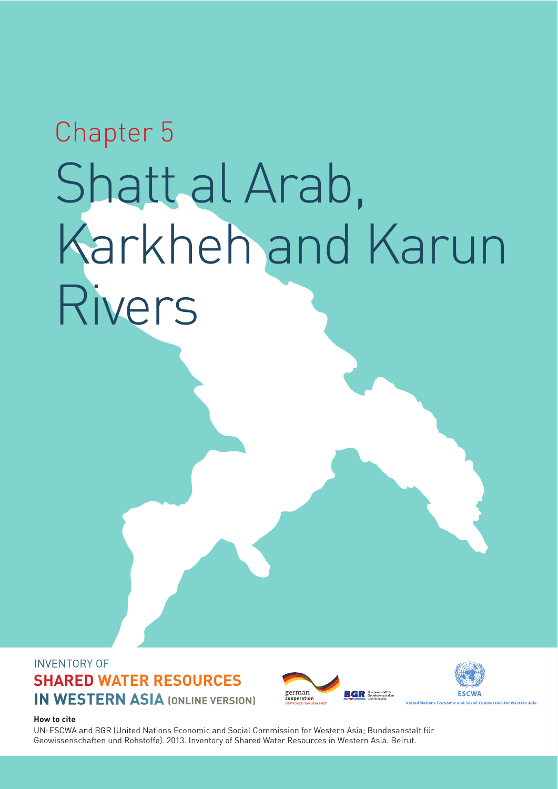# Chapter 5 Shatt al Arab, Karkheh and Karun Rivers

#### INVENTORY OF **SHARED WATER RESOURCES IN WESTERN ASIA (ONLINE VERSION)**





**How to cite**

UN-ESCWA and BGR (United Nations Economic and Social Commission for Western Asia; Bundesanstalt für Geowissenschaften und Rohstoffe). 2013. Inventory of Shared Water Resources in Western Asia. Beirut.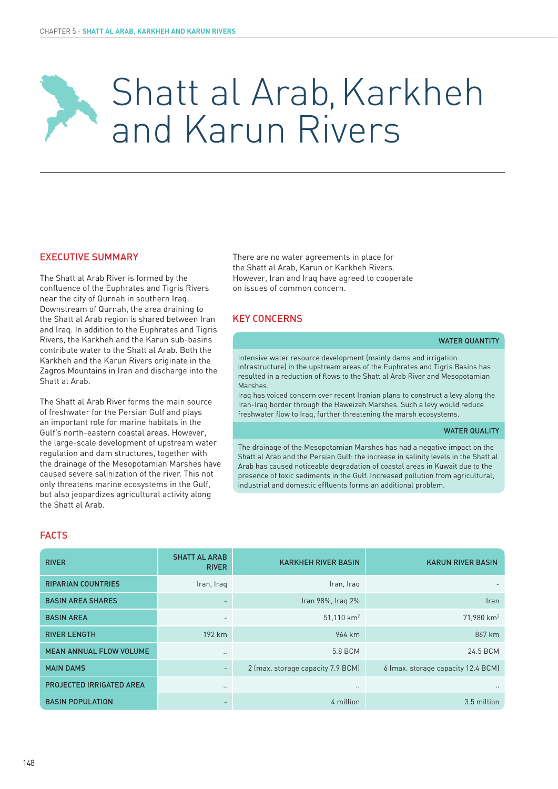## Shatt al Arab, Karkheh and Karun Rivers

#### EXECUTIVE SUMMARY

The Shatt al Arab River is formed by the confluence of the Euphrates and Tigris Rivers near the city of Qurnah in southern Iraq. Downstream of Qurnah, the area draining to the Shatt al Arab region is shared between Iran and Iraq. In addition to the Euphrates and Tigris Rivers, the Karkheh and the Karun sub-basins contribute water to the Shatt al Arab. Both the Karkheh and the Karun Rivers originate in the Zagros Mountains in Iran and discharge into the Shatt al Arab.

The Shatt al Arab River forms the main source of freshwater for the Persian Gulf and plays an important role for marine habitats in the Gulf's north-eastern coastal areas. However, the large-scale development of upstream water regulation and dam structures, together with the drainage of the Mesopotamian Marshes have caused severe salinization of the river. This not only threatens marine ecosystems in the Gulf, but also jeopardizes agricultural activity along the Shatt al Arab.

There are no water agreements in place for the Shatt al Arab, Karun or Karkheh Rivers. However, Iran and Iraq have agreed to cooperate on issues of common concern.

#### KEY CONCERNS

#### WATER QUANTITY

Intensive water resource development (mainly dams and irrigation infrastructure) in the upstream areas of the Euphrates and Tigris Basins has resulted in a reduction of flows to the Shatt al Arab River and Mesopotamian Marshes.

Iraq has voiced concern over recent Iranian plans to construct a levy along the Iran-Iraq border through the Haweizeh Marshes. Such a levy would reduce freshwater flow to Iraq, further threatening the marsh ecosystems.

#### WATER QUALITY

The drainage of the Mesopotamian Marshes has had a negative impact on the Shatt al Arab and the Persian Gulf: the increase in salinity levels in the Shatt al Arab has caused noticeable degradation of coastal areas in Kuwait due to the presence of toxic sediments in the Gulf. Increased pollution from agricultural, industrial and domestic effluents forms an additional problem.

#### FACTS

| <b>RIVER</b>                    | <b>SHATT AL ARAB</b><br><b>RIVER</b> | <b>KARKHEH RIVER BASIN</b>        | <b>KARUN RIVER BASIN</b>           |
|---------------------------------|--------------------------------------|-----------------------------------|------------------------------------|
| <b>RIPARIAN COUNTRIES</b>       | Iran, Iraq                           | Iran, Iraq                        |                                    |
| <b>BASIN AREA SHARES</b>        | -                                    | Iran 98%, Iraq 2%                 | <b>Iran</b>                        |
| <b>BASIN AREA</b>               | $\overline{\phantom{0}}$             | $51,110$ km <sup>2</sup>          | $71,980$ km <sup>2</sup>           |
| <b>RIVER LENGTH</b>             | 192 km                               | 964 km                            | 867 km                             |
| <b>MEAN ANNUAL FLOW VOLUME</b>  | $\ddotsc$                            | 5.8 BCM                           | 24.5 BCM                           |
| <b>MAIN DAMS</b>                | $\overline{\phantom{0}}$             | 2 (max. storage capacity 7.9 BCM) | 6 (max. storage capacity 12.4 BCM) |
| <b>PROJECTED IRRIGATED AREA</b> | $\cdot$ .                            | $\cdot$ .                         | $\cdot$ .                          |
| <b>BASIN POPULATION</b>         | -                                    | 4 million                         | 3.5 million                        |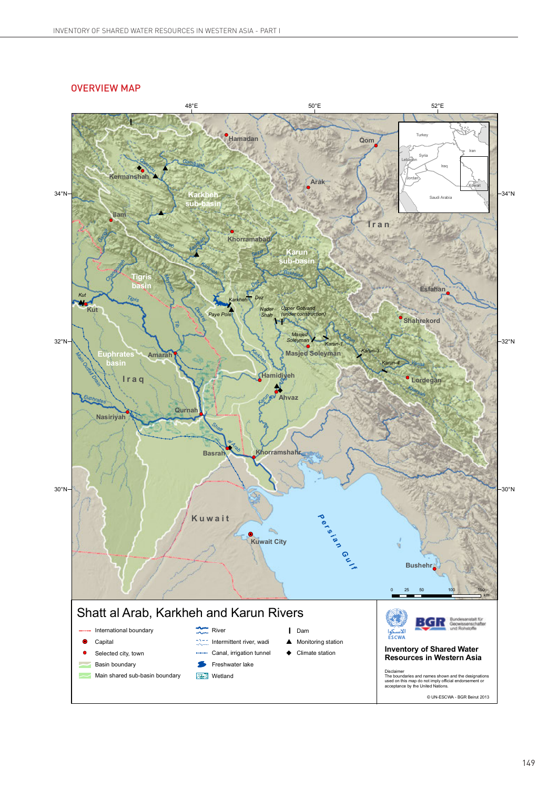#### *Qeshlagh* **OVERVIEW MAP** \$

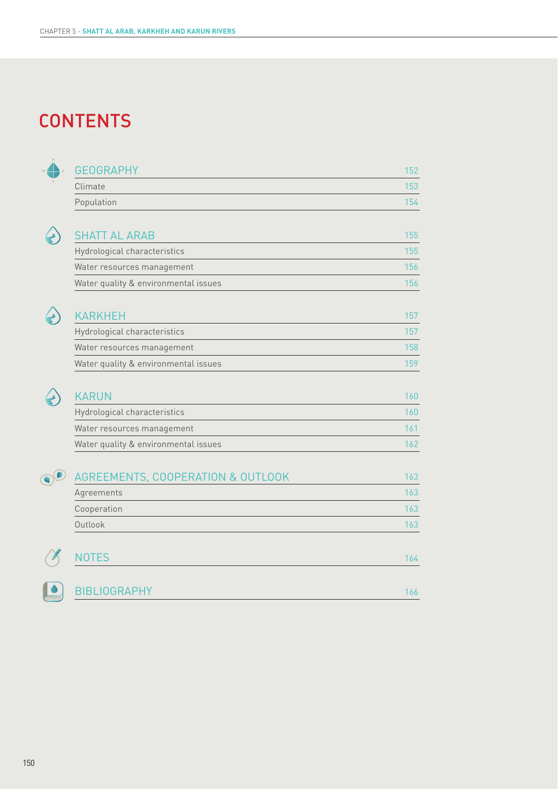### **CONTENTS**



| <b>GEOGRAPHY</b> | 152 |
|------------------|-----|
| Climate          | 153 |
| Population       | 154 |



| <b>SHATT AL ARAB</b>                 | 155 |
|--------------------------------------|-----|
| Hydrological characteristics         | 155 |
| Water resources management           | 156 |
| Water quality & environmental issues | 156 |



| <b>KARKHEH</b>                       | 157 |
|--------------------------------------|-----|
| Hydrological characteristics         | 157 |
| Water resources management           | 158 |
| Water quality & environmental issues | 159 |
|                                      |     |



| <b>KARUN</b>                         |     |
|--------------------------------------|-----|
| Hydrological characteristics         | 160 |
| Water resources management           |     |
| Water quality & environmental issues |     |
|                                      |     |

| AGREEMENTS, COOPERATION & OUTLOOK | 163 |
|-----------------------------------|-----|
| Agreements                        | 163 |
| Cooperation                       | 163 |
| Outlook                           | 163 |
|                                   |     |
| <b>NOTES</b>                      | 164 |
| <b>BIBLIOGRAPHY</b>               | 166 |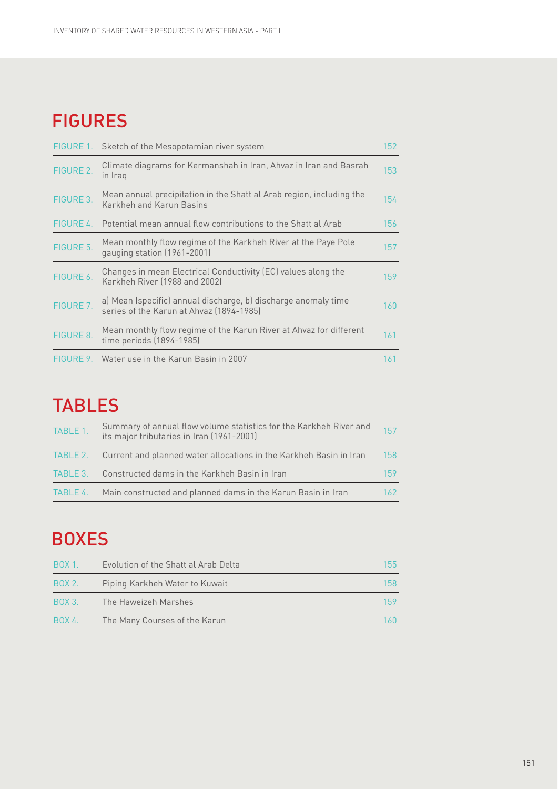## FIGURES

| FIGURE 1. | Sketch of the Mesopotamian river system                                                                    | 152 |
|-----------|------------------------------------------------------------------------------------------------------------|-----|
| FIGURE 2. | Climate diagrams for Kermanshah in Iran, Ahvaz in Iran and Basrah<br>in Iraq                               | 153 |
| FIGURE 3. | Mean annual precipitation in the Shatt al Arab region, including the<br>Karkheh and Karun Basins           | 154 |
| FIGURE 4. | Potential mean annual flow contributions to the Shatt al Arab                                              | 156 |
| FIGURE 5. | Mean monthly flow regime of the Karkheh River at the Paye Pole<br>gauging station (1961-2001)              | 157 |
| FIGURE 6. | Changes in mean Electrical Conductivity (EC) values along the<br>Karkheh River (1988 and 2002)             | 159 |
| FIGURE 7. | a) Mean (specific) annual discharge, b) discharge anomaly time<br>series of the Karun at Ahvaz (1894-1985) | 160 |
| FIGURE 8. | Mean monthly flow regime of the Karun River at Ahvaz for different<br>time periods (1894-1985)             | 161 |
| FIGURE 9. | Water use in the Karun Basin in 2007                                                                       | 161 |

### TABLES

| TABLE 1. | Summary of annual flow volume statistics for the Karkheh River and<br>its major tributaries in Iran (1961-2001) | 157 |
|----------|-----------------------------------------------------------------------------------------------------------------|-----|
|          | TABLE 2. Current and planned water allocations in the Karkheh Basin in Iran                                     | 158 |
|          | TABLE 3. Constructed dams in the Karkheh Basin in Iran                                                          | 159 |
| TABLE 4. | Main constructed and planned dams in the Karun Basin in Iran                                                    | 162 |

## BOXES

| <b>BOX 1.</b> | Evolution of the Shatt al Arab Delta | 155  |
|---------------|--------------------------------------|------|
| BOX 2.        | Piping Karkheh Water to Kuwait       | 158  |
| <b>BOX 3.</b> | The Haweizeh Marshes                 | 159  |
| BOX 4.        | The Many Courses of the Karun        | 160. |
|               |                                      |      |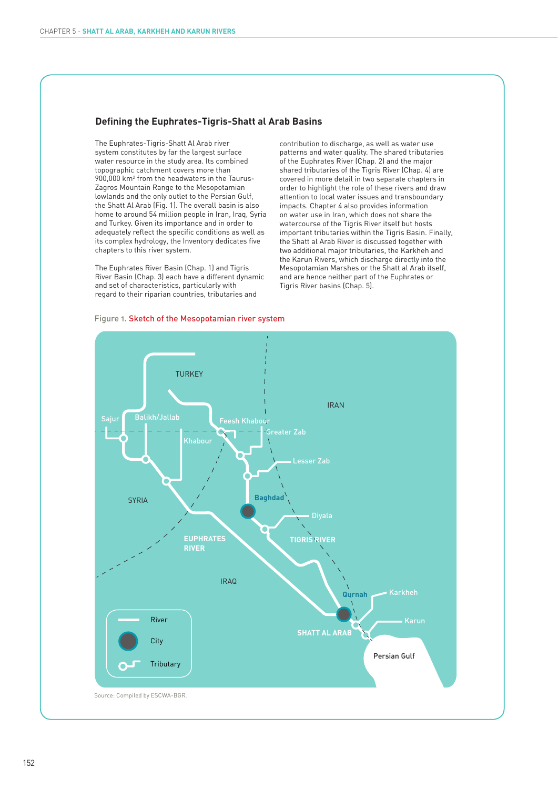#### **Defining the Euphrates-Tigris-Shatt al Arab Basins**

The Euphrates-Tigris-Shatt Al Arab river system constitutes by far the largest surface water resource in the study area. Its combined topographic catchment covers more than 900,000 km2 from the headwaters in the Taurus-Zagros Mountain Range to the Mesopotamian lowlands and the only outlet to the Persian Gulf, the Shatt Al Arab (Fig. 1). The overall basin is also home to around 54 million people in Iran, Iraq, Syria and Turkey. Given its importance and in order to adequately reflect the specific conditions as well as its complex hydrology, the Inventory dedicates five chapters to this river system.

The Euphrates River Basin (Chap. 1) and Tigris River Basin (Chap. 3) each have a different dynamic and set of characteristics, particularly with regard to their riparian countries, tributaries and

contribution to discharge, as well as water use patterns and water quality. The shared tributaries of the Euphrates River (Chap. 2) and the major shared tributaries of the Tigris River (Chap. 4) are covered in more detail in two separate chapters in order to highlight the role of these rivers and draw attention to local water issues and transboundary impacts. Chapter 4 also provides information on water use in Iran, which does not share the watercourse of the Tigris River itself but hosts important tributaries within the Tigris Basin. Finally, the Shatt al Arab River is discussed together with two additional major tributaries, the Karkheh and the Karun Rivers, which discharge directly into the Mesopotamian Marshes or the Shatt al Arab itself, and are hence neither part of the Euphrates or Tigris River basins (Chap. 5).



#### Figure 1. Sketch of the Mesopotamian river system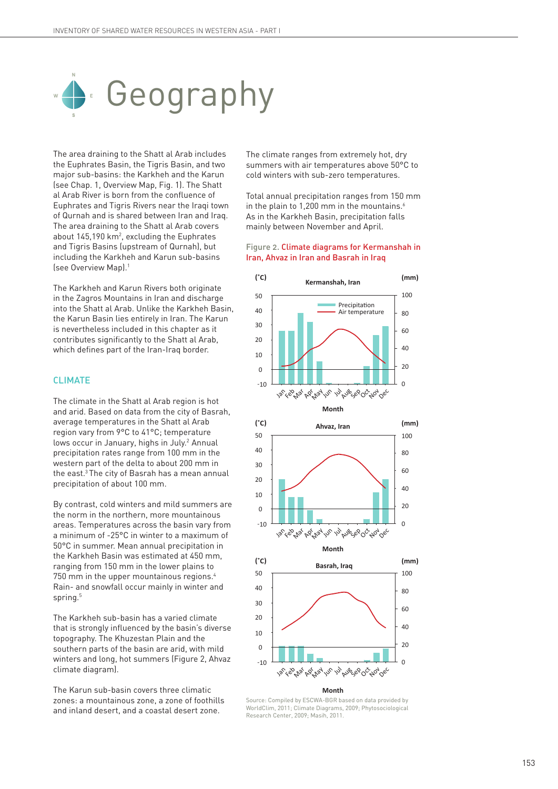

The area draining to the Shatt al Arab includes the Euphrates Basin, the Tigris Basin, and two major sub-basins: the Karkheh and the Karun (see Chap. 1, Overview Map, Fig. 1). The Shatt al Arab River is born from the confluence of Euphrates and Tigris Rivers near the Iraqi town of Qurnah and is shared between Iran and Iraq. The area draining to the Shatt al Arab covers about  $145,190$  km<sup>2</sup>, excluding the Euphrates and Tigris Basins (upstream of Qurnah), but including the Karkheh and Karun sub-basins (see Overview Map).1

The Karkheh and Karun Rivers both originate in the Zagros Mountains in Iran and discharge into the Shatt al Arab. Unlike the Karkheh Basin, the Karun Basin lies entirely in Iran. The Karun is nevertheless included in this chapter as it contributes significantly to the Shatt al Arab, which defines part of the Iran-Iraq border.

#### CLIMATE

The climate in the Shatt al Arab region is hot and arid. Based on data from the city of Basrah, average temperatures in the Shatt al Arab region vary from 9°C to 41°C; temperature lows occur in January, highs in July.<sup>2</sup> Annual precipitation rates range from 100 mm in the western part of the delta to about 200 mm in the east.<sup>3</sup> The city of Basrah has a mean annual precipitation of about 100 mm.

By contrast, cold winters and mild summers are the norm in the northern, more mountainous areas. Temperatures across the basin vary from a minimum of -25°C in winter to a maximum of 50°C in summer. Mean annual precipitation in the Karkheh Basin was estimated at 450 mm, ranging from 150 mm in the lower plains to 750 mm in the upper mountainous regions.4 Rain- and snowfall occur mainly in winter and spring.<sup>5</sup>

The Karkheh sub-basin has a varied climate that is strongly influenced by the basin's diverse topography. The Khuzestan Plain and the southern parts of the basin are arid, with mild winters and long, hot summers (Figure 2, Ahvaz climate diagram).

The Karun sub-basin covers three climatic zones: a mountainous zone, a zone of foothills and inland desert, and a coastal desert zone.

The climate ranges from extremely hot, dry summers with air temperatures above 50°C to cold winters with sub-zero temperatures.

Total annual precipitation ranges from 150 mm in the plain to 1,200 mm in the mountains.<sup>6</sup> As in the Karkheh Basin, precipitation falls mainly between November and April.

#### Figure 2. Climate diagrams for Kermanshah in Iran, Ahvaz in Iran and Basrah in Iraq



**Month**

Source: Compiled by ESCWA-BGR based on data provided by WorldClim, 2011; Climate Diagrams, 2009; Phytosociological Research Center, 2009; Masih, 2011.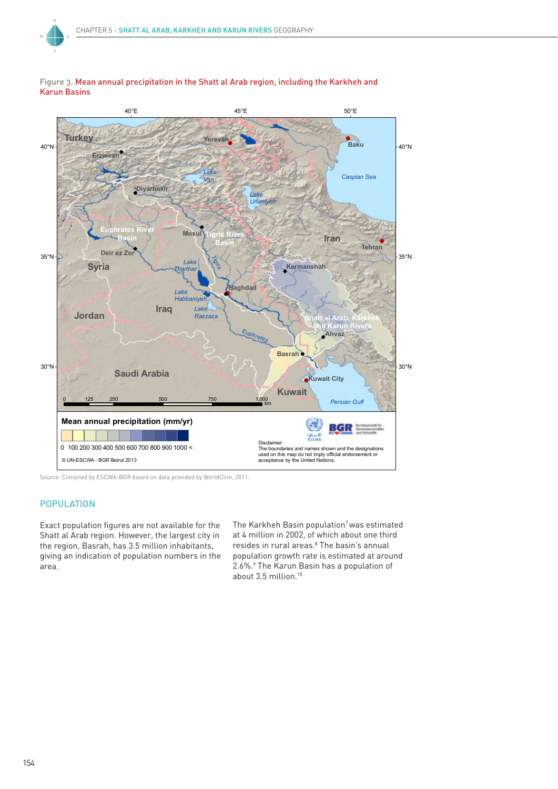



Source: Compiled by ESCWA-BGR based on data provided by WorldClim, 2011.

#### POPULATION

Exact population figures are not available for the Shatt al Arab region. However, the largest city in the region, Basrah, has 3.5 million inhabitants, giving an indication of population numbers in the area.

The Karkheh Basin population<sup>7</sup> was estimated at 4 million in 2002, of which about one third resides in rural areas.<sup>8</sup> The basin's annual population growth rate is estimated at around 2.6%.9 The Karun Basin has a population of about 3.5 million.10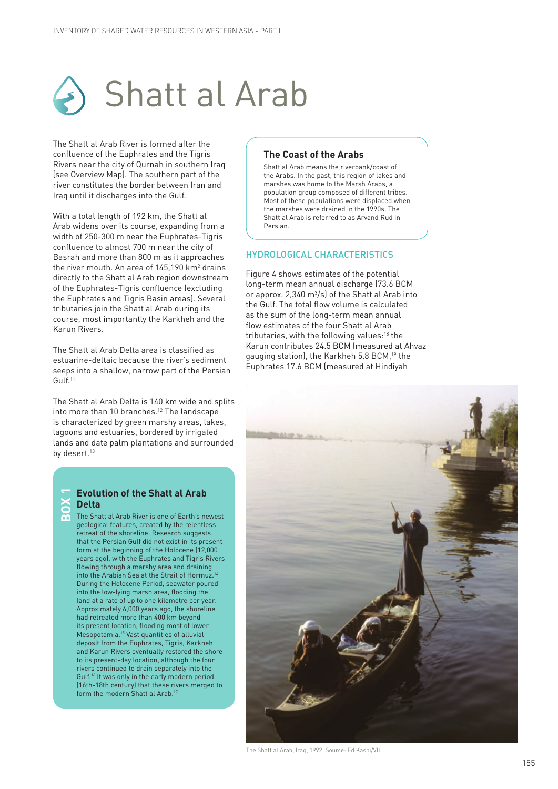

The Shatt al Arab River is formed after the confluence of the Euphrates and the Tigris Rivers near the city of Qurnah in southern Iraq (see Overview Map). The southern part of the river constitutes the border between Iran and Iraq until it discharges into the Gulf.

With a total length of 192 km, the Shatt al Arab widens over its course, expanding from a width of 250-300 m near the Euphrates-Tigris confluence to almost 700 m near the city of Basrah and more than 800 m as it approaches the river mouth. An area of  $145,190$  km<sup>2</sup> drains directly to the Shatt al Arab region downstream of the Euphrates-Tigris confluence (excluding the Euphrates and Tigris Basin areas). Several tributaries join the Shatt al Arab during its course, most importantly the Karkheh and the Karun Rivers.

The Shatt al Arab Delta area is classified as estuarine-deltaic because the river's sediment seeps into a shallow, narrow part of the Persian Gulf.11

The Shatt al Arab Delta is 140 km wide and splits into more than 10 branches.<sup>12</sup> The landscape is characterized by green marshy areas, lakes, lagoons and estuaries, bordered by irrigated lands and date palm plantations and surrounded by desert.<sup>13</sup>

#### **Evolution of the Shatt al Arab Delta BOX 1**

The Shatt al Arab River is one of Earth's newest geological features, created by the relentless retreat of the shoreline. Research suggests that the Persian Gulf did not exist in its present form at the beginning of the Holocene (12,000 years ago), with the Euphrates and Tigris Rivers flowing through a marshy area and draining into the Arabian Sea at the Strait of Hormuz.<sup>1</sup> During the Holocene Period, seawater poured into the low-lying marsh area, flooding the land at a rate of up to one kilometre per year. Approximately 6,000 years ago, the shoreline had retreated more than 400 km beyond its present location, flooding most of lower Mesopotamia.15 Vast quantities of alluvial deposit from the Euphrates, Tigris, Karkheh and Karun Rivers eventually restored the shore to its present-day location, although the four rivers continued to drain separately into the Gulf.16 It was only in the early modern period (16th-18th century) that these rivers merged to form the modern Shatt al Arab.<sup>1</sup>

#### **The Coast of the Arabs**

Shatt al Arab means the riverbank/coast of the Arabs. In the past, this region of lakes and marshes was home to the Marsh Arabs, a population group composed of different tribes. Most of these populations were displaced when the marshes were drained in the 1990s. The Shatt al Arab is referred to as Arvand Rud in Persian.

#### HYDROLOGICAL CHARACTERISTICS

Figure 4 shows estimates of the potential long-term mean annual discharge (73.6 BCM or approx.  $2,340 \text{ m}^3/\text{s}$  of the Shatt al Arab into the Gulf. The total flow volume is calculated as the sum of the long-term mean annual flow estimates of the four Shatt al Arab tributaries, with the following values:<sup>18</sup> the Karun contributes 24.5 BCM (measured at Ahvaz gauging station), the Karkheh 5.8 BCM,19 the Euphrates 17.6 BCM (measured at Hindiyah



The Shatt al Arab, Iraq, 1992. Source: Ed Kashi/VII.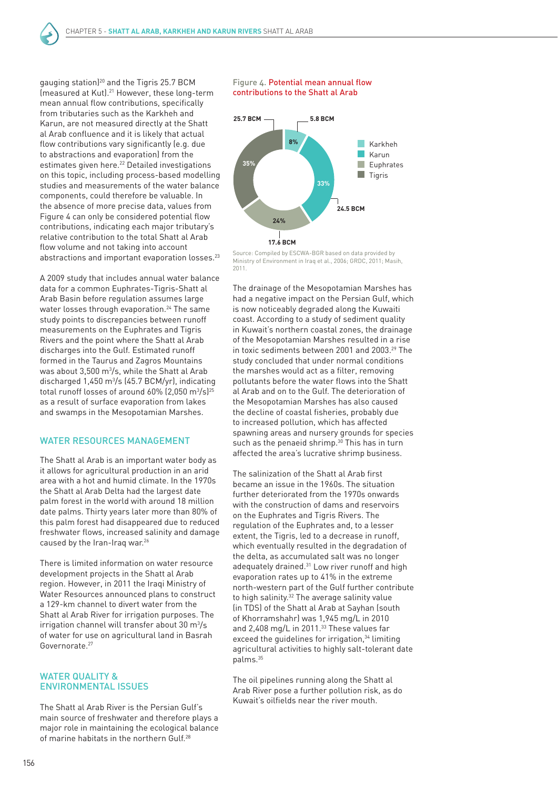gauging station)20 and the Tigris 25.7 BCM (measured at Kut).21 However, these long-term mean annual flow contributions, specifically from tributaries such as the Karkheh and Karun, are not measured directly at the Shatt al Arab confluence and it is likely that actual flow contributions vary significantly (e.g. due to abstractions and evaporation) from the estimates given here.<sup>22</sup> Detailed investigations on this topic, including process-based modelling studies and measurements of the water balance components, could therefore be valuable. In the absence of more precise data, values from Figure 4 can only be considered potential flow contributions, indicating each major tributary's relative contribution to the total Shatt al Arab flow volume and not taking into account abstractions and important evaporation losses.<sup>23</sup>

A 2009 study that includes annual water balance data for a common Euphrates-Tigris-Shatt al Arab Basin before regulation assumes large water losses through evaporation.<sup>24</sup> The same study points to discrepancies between runoff measurements on the Euphrates and Tigris Rivers and the point where the Shatt al Arab discharges into the Gulf. Estimated runoff formed in the Taurus and Zagros Mountains was about  $3,500$  m $^3$ /s, while the Shatt al Arab discharged 1,450 m3 /s (45.7 BCM/yr), indicating total runoff losses of around 60% (2,050 m $^3\!/s$ ) $^{25}$ as a result of surface evaporation from lakes and swamps in the Mesopotamian Marshes.

#### WATER RESOURCES MANAGEMENT

The Shatt al Arab is an important water body as it allows for agricultural production in an arid area with a hot and humid climate. In the 1970s the Shatt al Arab Delta had the largest date palm forest in the world with around 18 million date palms. Thirty years later more than 80% of this palm forest had disappeared due to reduced freshwater flows, increased salinity and damage caused by the Iran-Iraq war.<sup>26</sup>

There is limited information on water resource development projects in the Shatt al Arab region. However, in 2011 the Iraqi Ministry of Water Resources announced plans to construct a 129-km channel to divert water from the Shatt al Arab River for irrigation purposes. The  $irrigation channel$  will transfer about 30 m $\frac{3}{5}$ of water for use on agricultural land in Basrah Governorate.27

#### WATER QUALITY & ENVIRONMENTAL ISSUES

The Shatt al Arab River is the Persian Gulf's main source of freshwater and therefore plays a major role in maintaining the ecological balance of marine habitats in the northern Gulf.<sup>28</sup>

#### Figure 4. Potential mean annual flow contributions to the Shatt al Arab



Source: Compiled by ESCWA-BGR based on data provided by Ministry of Environment in Iraq et al., 2006; GRDC, 2011; Masih, 2011.

The drainage of the Mesopotamian Marshes has had a negative impact on the Persian Gulf, which is now noticeably degraded along the Kuwaiti coast. According to a study of sediment quality in Kuwait's northern coastal zones, the drainage of the Mesopotamian Marshes resulted in a rise in toxic sediments between 2001 and 2003.<sup>29</sup> The study concluded that under normal conditions the marshes would act as a filter, removing pollutants before the water flows into the Shatt al Arab and on to the Gulf. The deterioration of the Mesopotamian Marshes has also caused the decline of coastal fisheries, probably due to increased pollution, which has affected spawning areas and nursery grounds for species such as the penaeid shrimp.<sup>30</sup> This has in turn affected the area's lucrative shrimp business.

The salinization of the Shatt al Arab first became an issue in the 1960s. The situation further deteriorated from the 1970s onwards with the construction of dams and reservoirs on the Euphrates and Tigris Rivers. The regulation of the Euphrates and, to a lesser extent, the Tigris, led to a decrease in runoff, which eventually resulted in the degradation of the delta, as accumulated salt was no longer adequately drained.31 Low river runoff and high evaporation rates up to 41% in the extreme north-western part of the Gulf further contribute to high salinity.<sup>32</sup> The average salinity value (in TDS) of the Shatt al Arab at Sayhan (south of Khorramshahr) was 1,945 mg/L in 2010 and 2,408 mg/L in 2011.<sup>33</sup> These values far exceed the quidelines for irrigation,<sup>34</sup> limiting agricultural activities to highly salt-tolerant date palms.35

The oil pipelines running along the Shatt al Arab River pose a further pollution risk, as do Kuwait's oilfields near the river mouth.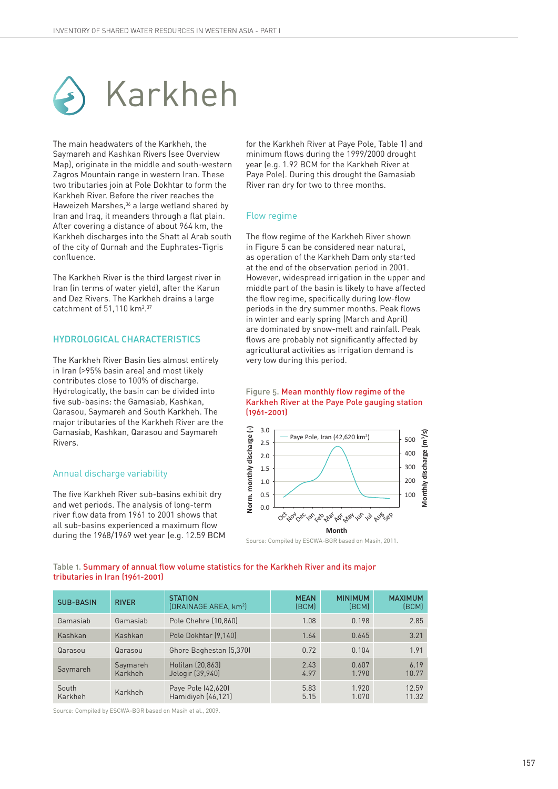

The main headwaters of the Karkheh, the Saymareh and Kashkan Rivers (see Overview Map), originate in the middle and south-western Zagros Mountain range in western Iran. These two tributaries join at Pole Dokhtar to form the Karkheh River. Before the river reaches the Haweizeh Marshes,<sup>36</sup> a large wetland shared by Iran and Iraq, it meanders through a flat plain. After covering a distance of about 964 km, the Karkheh discharges into the Shatt al Arab south of the city of Qurnah and the Euphrates-Tigris confluence.

The Karkheh River is the third largest river in Iran (in terms of water yield), after the Karun and Dez Rivers. The Karkheh drains a large catchment of  $51,110$  km<sup>2</sup>.<sup>37</sup>

#### HYDROLOGICAL CHARACTERISTICS

The Karkheh River Basin lies almost entirely in Iran (>95% basin area) and most likely contributes close to 100% of discharge. Hydrologically, the basin can be divided into five sub-basins: the Gamasiab, Kashkan, Qarasou, Saymareh and South Karkheh. The major tributaries of the Karkheh River are the Gamasiab, Kashkan, Qarasou and Saymareh Rivers.

#### Annual discharge variability

The five Karkheh River sub-basins exhibit dry and wet periods. The analysis of long-term river flow data from 1961 to 2001 shows that all sub-basins experienced a maximum flow during the 1968/1969 wet year (e.g. 12.59 BCM for the Karkheh River at Paye Pole, Table 1) and minimum flows during the 1999/2000 drought year (e.g. 1.92 BCM for the Karkheh River at Paye Pole). During this drought the Gamasiab River ran dry for two to three months.

#### Flow regime

The flow regime of the Karkheh River shown in Figure 5 can be considered near natural, as operation of the Karkheh Dam only started at the end of the observation period in 2001. However, widespread irrigation in the upper and middle part of the basin is likely to have affected the flow regime, specifically during low-flow periods in the dry summer months. Peak flows in winter and early spring (March and April) are dominated by snow-melt and rainfall. Peak flows are probably not significantly affected by agricultural activities as irrigation demand is very low during this period.

#### Figure 5. Mean monthly flow regime of the Karkheh River at the Paye Pole gauging station (1961-2001)



Source: Compiled by ESCWA-BGR based on Masih, 2011.

#### Table 1. Summary of annual flow volume statistics for the Karkheh River and its major tributaries in Iran (1961-2001)

| <b>SUB-BASIN</b> | <b>RIVER</b>        | <b>STATION</b><br>(DRAINAGE AREA, km <sup>2</sup> ) | <b>MEAN</b><br>(BCM) | <b>MINIMUM</b><br>(BCM) | <b>MAXIMUM</b><br>(BCM) |
|------------------|---------------------|-----------------------------------------------------|----------------------|-------------------------|-------------------------|
| Gamasiab         | Gamasiab            | Pole Chehre (10,860)                                | 1.08                 | 0.198                   | 2.85                    |
| Kashkan          | Kashkan             | Pole Dokhtar (9,140)                                | 1.64                 | 0.645                   | 3.21                    |
| Qarasou          | Qarasou             | Ghore Baghestan (5,370)                             | 0.72                 | 0.104                   | 1.91                    |
| Saymareh         | Saymareh<br>Karkheh | Holilan (20,863)<br>Jelogir (39,940)                | 2.43<br>4.97         | 0.607<br>1.790          | 6.19<br>10.77           |
| South<br>Karkheh | Karkheh             | Paye Pole (42,620)<br>Hamidiyeh (46,121)            | 5.83<br>5.15         | 1.920<br>1.070          | 12.59<br>11.32          |

Source: Compiled by ESCWA-BGR based on Masih et al., 2009.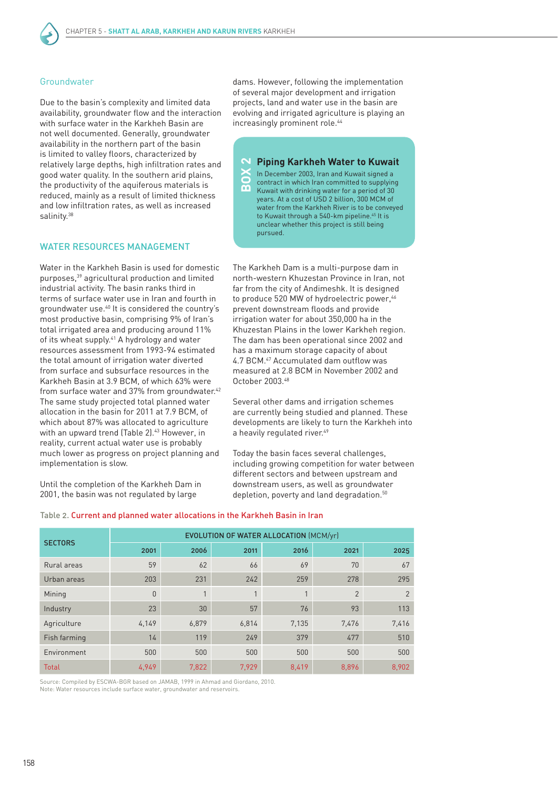#### Groundwater

Due to the basin's complexity and limited data availability, groundwater flow and the interaction with surface water in the Karkheh Basin are not well documented. Generally, groundwater availability in the northern part of the basin is limited to valley floors, characterized by relatively large depths, high infiltration rates and good water quality. In the southern arid plains, the productivity of the aquiferous materials is reduced, mainly as a result of limited thickness and low infiltration rates, as well as increased salinity.<sup>38</sup>

#### WATER RESOURCES MANAGEMENT

Water in the Karkheh Basin is used for domestic purposes,39 agricultural production and limited industrial activity. The basin ranks third in terms of surface water use in Iran and fourth in groundwater use.40 It is considered the country's most productive basin, comprising 9% of Iran's total irrigated area and producing around 11% of its wheat supply.<sup>41</sup> A hydrology and water resources assessment from 1993-94 estimated the total amount of irrigation water diverted from surface and subsurface resources in the Karkheh Basin at 3.9 BCM, of which 63% were from surface water and 37% from groundwater.<sup>42</sup> The same study projected total planned water allocation in the basin for 2011 at 7.9 BCM, of which about 87% was allocated to agriculture with an upward trend (Table 2).<sup>43</sup> However, in reality, current actual water use is probably much lower as progress on project planning and implementation is slow.

Until the completion of the Karkheh Dam in 2001, the basin was not regulated by large

dams. However, following the implementation of several major development and irrigation projects, land and water use in the basin are evolving and irrigated agriculture is playing an increasingly prominent role.<sup>44</sup>

#### **Piping Karkheh Water to Kuwait**

In December 2003, Iran and Kuwait signed a contract in which Iran committed to supplying Kuwait with drinking water for a period of 30 years. At a cost of USD 2 billion, 300 MCM of water from the Karkheh River is to be conveyed to Kuwait through a 540-km pipeline.<sup>45</sup> It is unclear whether this project is still being pursued. **box** 

The Karkheh Dam is a multi-purpose dam in north-western Khuzestan Province in Iran, not far from the city of Andimeshk. It is designed to produce 520 MW of hydroelectric power,<sup>46</sup> prevent downstream floods and provide irrigation water for about 350,000 ha in the Khuzestan Plains in the lower Karkheh region. The dam has been operational since 2002 and has a maximum storage capacity of about 4.7 BCM.47 Accumulated dam outflow was measured at 2.8 BCM in November 2002 and October 2003.48

Several other dams and irrigation schemes are currently being studied and planned. These developments are likely to turn the Karkheh into a heavily regulated river.<sup>49</sup>

Today the basin faces several challenges, including growing competition for water between different sectors and between upstream and downstream users, as well as groundwater depletion, poverty and land degradation.<sup>50</sup>

#### Table 2. Current and planned water allocations in the Karkheh Basin in Iran

| <b>SECTORS</b> | EVOLUTION OF WATER ALLOCATION (MCM/yr) |              |       |       |                |       |  |
|----------------|----------------------------------------|--------------|-------|-------|----------------|-------|--|
|                | 2001                                   | 2006         | 2011  | 2016  | 2021           | 2025  |  |
| Rural areas    | 59                                     | 62           | 66    | 69    | 70             | 67    |  |
| Urban areas    | 203                                    | 231          | 242   | 259   | 278            | 295   |  |
| Mining         | $\Omega$                               | $\mathbf{1}$ |       |       | $\overline{2}$ | 2     |  |
| Industry       | 23                                     | 30           | 57    | 76    | 93             | 113   |  |
| Agriculture    | 4,149                                  | 6,879        | 6,814 | 7,135 | 7,476          | 7,416 |  |
| Fish farming   | 14                                     | 119          | 249   | 379   | 477            | 510   |  |
| Environment    | 500                                    | 500          | 500   | 500   | 500            | 500   |  |
| <b>Total</b>   | 4.949                                  | 7,822        | 7.929 | 8,419 | 8,896          | 8,902 |  |

Source: Compiled by ESCWA-BGR based on JAMAB, 1999 in Ahmad and Giordano, 2010. Note: Water resources include surface water, groundwater and reservoirs.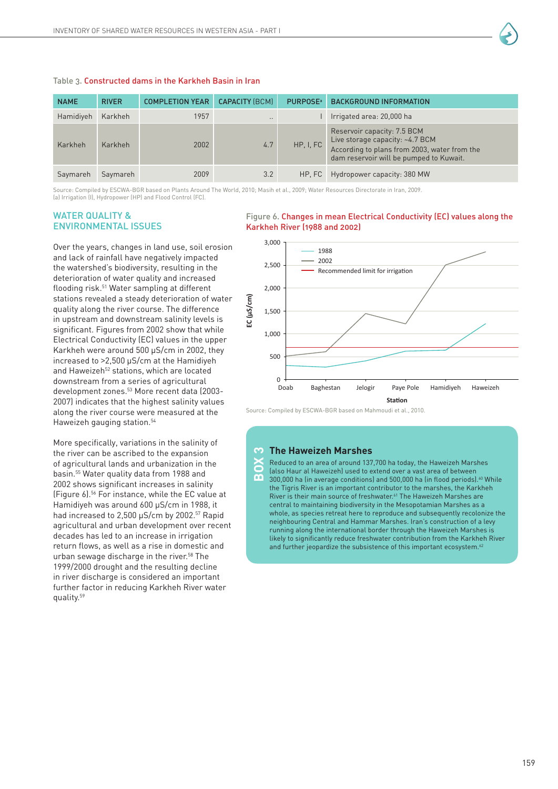

Source: Compiled by ESCWA-BGR based on Plants Around The World, 2010; Masih et al., 2009; Water Resources Directorate in Iran, 2009. (a) Irrigation (I), Hydropower (HP) and Flood Control (FC).

#### WATER QUALITY & ENVIRONMENTAL ISSUES

Over the years, changes in land use, soil erosion and lack of rainfall have negatively impacted the watershed's biodiversity, resulting in the deterioration of water quality and increased flooding risk.51 Water sampling at different stations revealed a steady deterioration of water quality along the river course. The difference in upstream and downstream salinity levels is significant. Figures from 2002 show that while Electrical Conductivity (EC) values in the upper Karkheh were around 500 µS/cm in 2002, they increased to >2,500 µS/cm at the Hamidiyeh and Haweizeh<sup>52</sup> stations, which are located downstream from a series of agricultural development zones.53 More recent data (2003- 2007) indicates that the highest salinity values along the river course were measured at the Haweizeh gauging station.54

More specifically, variations in the salinity of the river can be ascribed to the expansion of agricultural lands and urbanization in the basin.55 Water quality data from 1988 and 2002 shows significant increases in salinity (Figure 6).56 For instance, while the EC value at Hamidiyeh was around 600 µS/cm in 1988, it had increased to 2,500 µS/cm by 2002.<sup>57</sup> Rapid agricultural and urban development over recent decades has led to an increase in irrigation return flows, as well as a rise in domestic and urban sewage discharge in the river.<sup>58</sup> The 1999/2000 drought and the resulting decline in river discharge is considered an important further factor in reducing Karkheh River water quality.59

#### Figure 6. Changes in mean Electrical Conductivity (EC) values along the Karkheh River (1988 and 2002)



Source: Compiled by ESCWA-BGR based on Mahmoudi et al., 2010.

#### **The Haweizeh Marshes BOX 3**

Reduced to an area of around 137,700 ha today, the Haweizeh Marshes (also Haur al Haweizeh) used to extend over a vast area of between 300,000 ha (in average conditions) and 500,000 ha (in flood periods).<sup>60</sup> While the Tigris River is an important contributor to the marshes, the Karkheh River is their main source of freshwater.61 The Haweizeh Marshes are central to maintaining biodiversity in the Mesopotamian Marshes as a whole, as species retreat here to reproduce and subsequently recolonize the neighbouring Central and Hammar Marshes. Iran's construction of a levy running along the international border through the Haweizeh Marshes is likely to significantly reduce freshwater contribution from the Karkheh River and further jeopardize the subsistence of this important ecosystem.<sup>62</sup>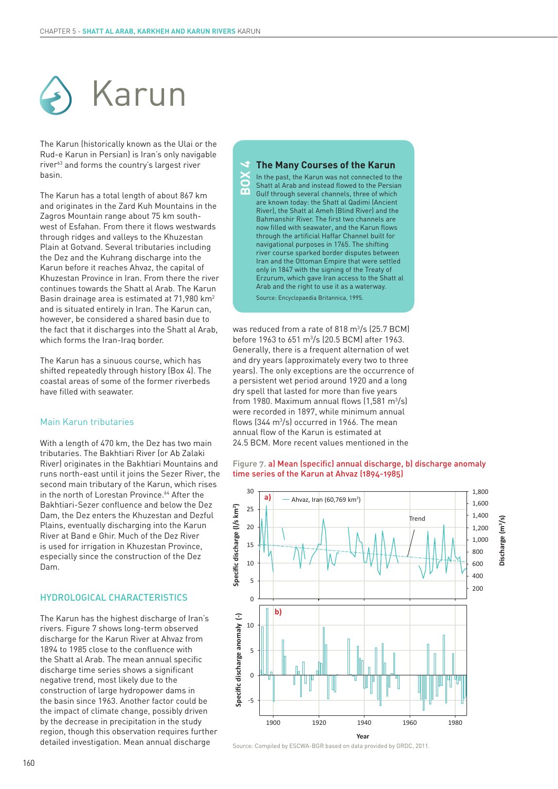

The Karun (historically known as the Ulai or the Rud-e Karun in Persian) is Iran's only navigable river63 and forms the country's largest river basin.

The Karun has a total length of about 867 km and originates in the Zard Kuh Mountains in the Zagros Mountain range about 75 km southwest of Esfahan. From there it flows westwards through ridges and valleys to the Khuzestan Plain at Gotvand. Several tributaries including the Dez and the Kuhrang discharge into the Karun before it reaches Ahvaz, the capital of Khuzestan Province in Iran. From there the river continues towards the Shatt al Arab. The Karun Basin drainage area is estimated at 71,980 km2 and is situated entirely in Iran. The Karun can, however, be considered a shared basin due to the fact that it discharges into the Shatt al Arab, which forms the Iran-Iraq border.

The Karun has a sinuous course, which has shifted repeatedly through history (Box 4). The coastal areas of some of the former riverbeds have filled with seawater.

#### Main Karun tributaries

With a length of 470 km, the Dez has two main tributaries. The Bakhtiari River (or Ab Zalaki River) originates in the Bakhtiari Mountains and runs north-east until it joins the Sezer River, the second main tributary of the Karun, which rises in the north of Lorestan Province.<sup>64</sup> After the Bakhtiari-Sezer confluence and below the Dez Dam, the Dez enters the Khuzestan and Dezful Plains, eventually discharging into the Karun River at Band e Ghir. Much of the Dez River is used for irrigation in Khuzestan Province, especially since the construction of the Dez Dam.

#### HYDROLOGICAL CHARACTERISTICS

The Karun has the highest discharge of Iran's rivers. Figure 7 shows long-term observed discharge for the Karun River at Ahvaz from 1894 to 1985 close to the confluence with the Shatt al Arab. The mean annual specific discharge time series shows a significant negative trend, most likely due to the construction of large hydropower dams in the basin since 1963. Another factor could be the impact of climate change, possibly driven by the decrease in precipitation in the study region, though this observation requires further detailed investigation. Mean annual discharge

#### **The Many Courses of the Karun**

In the past, the Karun was not connected to the Shatt al Arab and instead flowed to the Persian Gulf through several channels, three of which are known today: the Shatt al Qadimi (Ancient River), the Shatt al Ameh (Blind River) and the Bahmanshir River. The first two channels are now filled with seawater, and the Karun flows through the artificial Haffar Channel built for navigational purposes in 1765. The shifting river course sparked border disputes between Iran and the Ottoman Empire that were settled only in 1847 with the signing of the Treaty of Erzurum, which gave Iran access to the Shatt al Arab and the right to use it as a waterway. Source: Encyclopaedia Britannica, 1995. **BOX 4**

was reduced from a rate of 818 m<sup>3</sup>/s (25.7 BCM) before 1963 to 651 m3 /s (20.5 BCM) after 1963. Generally, there is a frequent alternation of wet and dry years (approximately every two to three years). The only exceptions are the occurrence of a persistent wet period around 1920 and a long dry spell that lasted for more than five years from 1980. Maximum annual flows  $(1,581 \text{ m}^3/\text{s})$ were recorded in 1897, while minimum annual flows  $(344 \text{ m}^3/\text{s})$  occurred in 1966. The mean annual flow of the Karun is estimated at 24.5 BCM. More recent values mentioned in the

#### Figure 7. a) Mean (specific) annual discharge, b) discharge anomaly time series of the Karun at Ahvaz (1894-1985)

**Discharge (m3/s)**



Source: Compiled by ESCWA-BGR based on data provided by GRDC, 2011.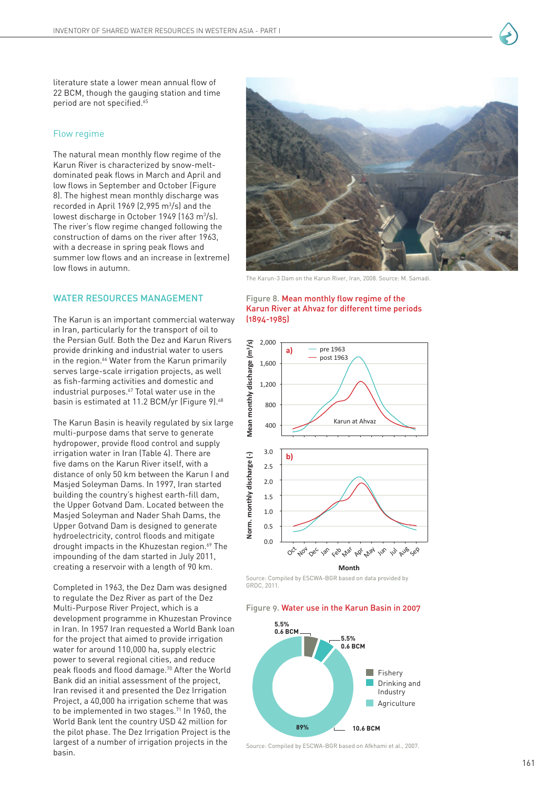

literature state a lower mean annual flow of 22 BCM, though the gauging station and time period are not specified.<sup>65</sup>

#### Flow regime

The natural mean monthly flow regime of the Karun River is characterized by snow-meltdominated peak flows in March and April and low flows in September and October (Figure 8). The highest mean monthly discharge was recorded in April 1969 (2,995 m3 /s) and the lowest discharge in October 1949 (163 m<sup>3</sup>/s). The river's flow regime changed following the construction of dams on the river after 1963, with a decrease in spring peak flows and summer low flows and an increase in (extreme) low flows in autumn.

#### WATER RESOURCES MANAGEMENT

The Karun is an important commercial waterway in Iran, particularly for the transport of oil to the Persian Gulf. Both the Dez and Karun Rivers provide drinking and industrial water to users in the region.<sup>66</sup> Water from the Karun primarily serves large-scale irrigation projects, as well as fish-farming activities and domestic and industrial purposes.<sup>67</sup> Total water use in the basin is estimated at 11.2 BCM/yr (Figure 9).<sup>68</sup>

The Karun Basin is heavily regulated by six large multi-purpose dams that serve to generate hydropower, provide flood control and supply irrigation water in Iran (Table 4). There are five dams on the Karun River itself, with a distance of only 50 km between the Karun I and Masjed Soleyman Dams. In 1997, Iran started building the country's highest earth-fill dam, the Upper Gotvand Dam. Located between the Masjed Soleyman and Nader Shah Dams, the Upper Gotvand Dam is designed to generate hydroelectricity, control floods and mitigate drought impacts in the Khuzestan region.<sup>69</sup> The impounding of the dam started in July 2011, creating a reservoir with a length of 90 km.

Completed in 1963, the Dez Dam was designed to regulate the Dez River as part of the Dez Multi-Purpose River Project, which is a development programme in Khuzestan Province in Iran. In 1957 Iran requested a World Bank loan for the project that aimed to provide irrigation water for around 110,000 ha, supply electric power to several regional cities, and reduce peak floods and flood damage.70 After the World Bank did an initial assessment of the project, Iran revised it and presented the Dez Irrigation Project, a 40,000 ha irrigation scheme that was to be implemented in two stages.<sup>71</sup> In 1960, the World Bank lent the country USD 42 million for the pilot phase. The Dez Irrigation Project is the largest of a number of irrigation projects in the basin.



The Karun-3 Dam on the Karun River, Iran, 2008. Source: M. Samadi.

#### Figure 8. Mean monthly flow regime of the Karun River at Ahvaz for different time periods (1894-1985)



**Month**

Source: Compiled by ESCWA-BGR based on data provided by GRDC, 2011.

#### Figure 9. Water use in the Karun Basin in 2007



Source: Compiled by ESCWA-BGR based on Afkhami et al., 2007.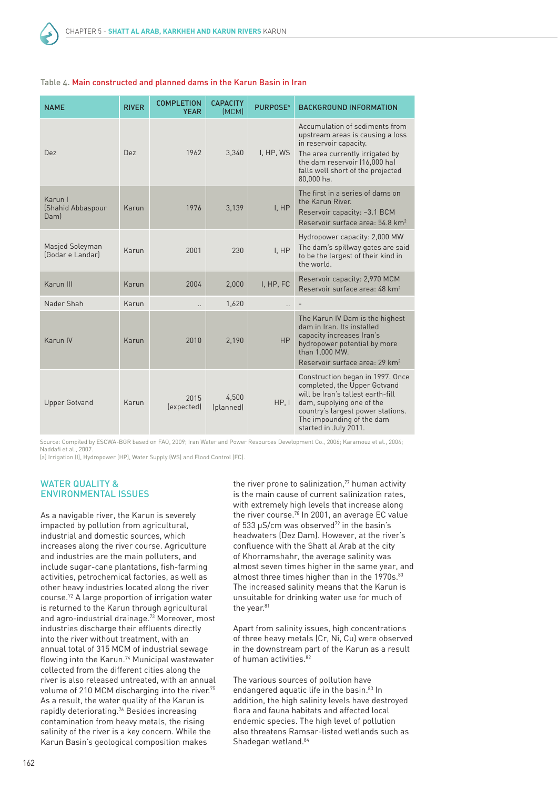

| <b>NAME</b>                          | <b>RIVER</b> | <b>COMPLETION</b><br><b>YEAR</b> | <b>CAPACITY</b><br>(MCM) | <b>PURPOSE</b> <sup>a</sup> | <b>BACKGROUND INFORMATION</b>                                                                                                                                                                                                 |
|--------------------------------------|--------------|----------------------------------|--------------------------|-----------------------------|-------------------------------------------------------------------------------------------------------------------------------------------------------------------------------------------------------------------------------|
| Dez                                  | Dez          | 1962                             | 3,340                    | I, HP, WS                   | Accumulation of sediments from<br>upstream areas is causing a loss<br>in reservoir capacity.<br>The area currently irrigated by<br>the dam reservoir (16,000 ha)<br>falls well short of the projected<br>80,000 ha.           |
| Karun I<br>(Shahid Abbaspour<br>Daml | Karun        | 1976                             | 3,139                    | I, HP                       | The first in a series of dams on<br>the Karun River.<br>Reservoir capacity: ~3.1 BCM<br>Reservoir surface area: 54.8 km <sup>2</sup>                                                                                          |
| Masjed Soleyman<br>(Godar e Landar)  | Karun        | 2001                             | 230                      | I, HP                       | Hydropower capacity: 2,000 MW<br>The dam's spillway gates are said<br>to be the largest of their kind in<br>the world.                                                                                                        |
| Karun III                            | Karun        | 2004                             | 2,000                    | I, HP, FC                   | Reservoir capacity: 2,970 MCM<br>Reservoir surface area: 48 km <sup>2</sup>                                                                                                                                                   |
| Nader Shah                           | Karun        |                                  | 1,620                    | Ω.                          |                                                                                                                                                                                                                               |
| Karun IV                             | Karun        | 2010                             | 2,190                    | <b>HP</b>                   | The Karun IV Dam is the highest<br>dam in Iran. Its installed<br>capacity increases Iran's<br>hydropower potential by more<br>than 1,000 MW.<br>Reservoir surface area: 29 km <sup>2</sup>                                    |
| <b>Upper Gotvand</b>                 | Karun        | 2015<br>(expected)               | 4,500<br>(planned)       | HP, I                       | Construction began in 1997. Once<br>completed, the Upper Gotvand<br>will be Iran's tallest earth-fill<br>dam, supplying one of the<br>country's largest power stations.<br>The impounding of the dam<br>started in July 2011. |

#### Table 4. Main constructed and planned dams in the Karun Basin in Iran

Source: Compiled by ESCWA-BGR based on FAO, 2009; Iran Water and Power Resources Development Co., 2006; Karamouz et al., 2004; Naddafi et al., 2007.

(a) Irrigation (I), Hydropower (HP), Water Supply (WS) and Flood Control (FC).

#### WATER QUALITY & ENVIRONMENTAL ISSUES

As a navigable river, the Karun is severely impacted by pollution from agricultural, industrial and domestic sources, which increases along the river course. Agriculture and industries are the main polluters, and include sugar-cane plantations, fish-farming activities, petrochemical factories, as well as other heavy industries located along the river course.72 A large proportion of irrigation water is returned to the Karun through agricultural and agro-industrial drainage.73 Moreover, most industries discharge their effluents directly into the river without treatment, with an annual total of 315 MCM of industrial sewage flowing into the Karun.74 Municipal wastewater collected from the different cities along the river is also released untreated, with an annual volume of 210 MCM discharging into the river.<sup>75</sup> As a result, the water quality of the Karun is rapidly deteriorating.76 Besides increasing contamination from heavy metals, the rising salinity of the river is a key concern. While the Karun Basin's geological composition makes

the river prone to salinization, $77$  human activity is the main cause of current salinization rates, with extremely high levels that increase along the river course.78 In 2001, an average EC value of 533  $\mu$ S/cm was observed<sup>79</sup> in the basin's headwaters (Dez Dam). However, at the river's confluence with the Shatt al Arab at the city of Khorramshahr, the average salinity was almost seven times higher in the same year, and almost three times higher than in the 1970s.<sup>80</sup> The increased salinity means that the Karun is unsuitable for drinking water use for much of the year.<sup>81</sup>

Apart from salinity issues, high concentrations of three heavy metals (Cr, Ni, Cu) were observed in the downstream part of the Karun as a result of human activities.<sup>82</sup>

The various sources of pollution have endangered aquatic life in the basin.<sup>83</sup> In addition, the high salinity levels have destroyed flora and fauna habitats and affected local endemic species. The high level of pollution also threatens Ramsar-listed wetlands such as Shadegan wetland.<sup>84</sup>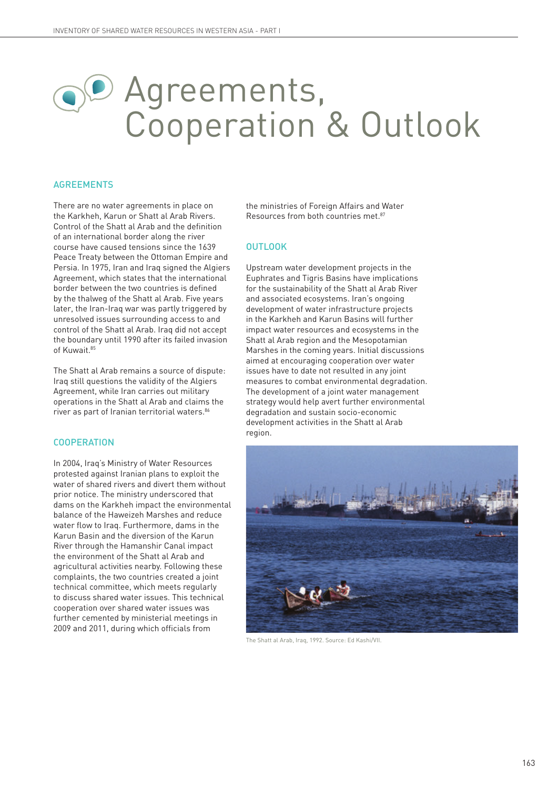## Agreements, Cooperation & Outlook

#### AGREEMENTS

There are no water agreements in place on the Karkheh, Karun or Shatt al Arab Rivers. Control of the Shatt al Arab and the definition of an international border along the river course have caused tensions since the 1639 Peace Treaty between the Ottoman Empire and Persia. In 1975, Iran and Iraq signed the Algiers Agreement, which states that the international border between the two countries is defined by the thalweg of the Shatt al Arab. Five years later, the Iran-Iraq war was partly triggered by unresolved issues surrounding access to and control of the Shatt al Arab. Iraq did not accept the boundary until 1990 after its failed invasion of Kuwait.<sup>85</sup>

The Shatt al Arab remains a source of dispute: Iraq still questions the validity of the Algiers Agreement, while Iran carries out military operations in the Shatt al Arab and claims the river as part of Iranian territorial waters.86

#### COOPERATION

In 2004, Iraq's Ministry of Water Resources protested against Iranian plans to exploit the water of shared rivers and divert them without prior notice. The ministry underscored that dams on the Karkheh impact the environmental balance of the Haweizeh Marshes and reduce water flow to Iraq. Furthermore, dams in the Karun Basin and the diversion of the Karun River through the Hamanshir Canal impact the environment of the Shatt al Arab and agricultural activities nearby. Following these complaints, the two countries created a joint technical committee, which meets regularly to discuss shared water issues. This technical cooperation over shared water issues was further cemented by ministerial meetings in 2009 and 2011, during which officials from

the ministries of Foreign Affairs and Water Resources from both countries met.<sup>87</sup>

#### **OUTLOOK**

Upstream water development projects in the Euphrates and Tigris Basins have implications for the sustainability of the Shatt al Arab River and associated ecosystems. Iran's ongoing development of water infrastructure projects in the Karkheh and Karun Basins will further impact water resources and ecosystems in the Shatt al Arab region and the Mesopotamian Marshes in the coming years. Initial discussions aimed at encouraging cooperation over water issues have to date not resulted in any joint measures to combat environmental degradation. The development of a joint water management strategy would help avert further environmental degradation and sustain socio-economic development activities in the Shatt al Arab region.



The Shatt al Arab, Iraq, 1992. Source: Ed Kashi/VII.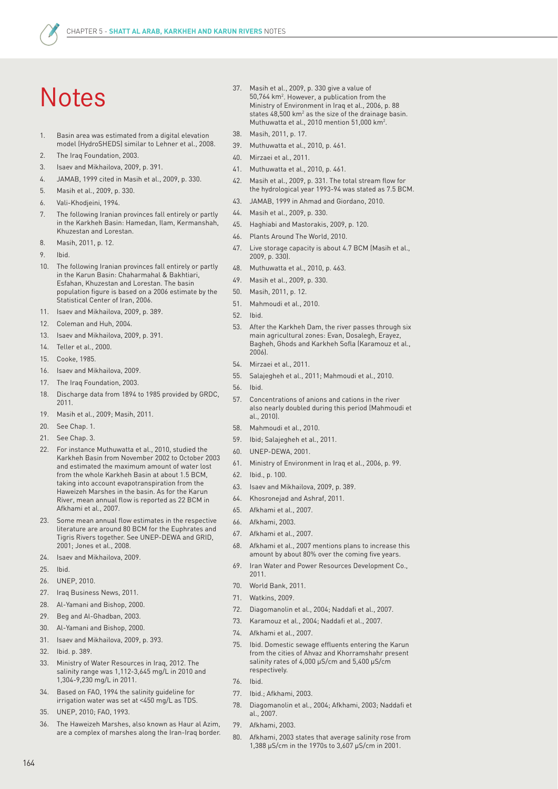## **Notes**

- 1. Basin area was estimated from a digital elevation model (HydroSHEDS) similar to Lehner et al., 2008.
- 2. The Iraq Foundation, 2003.
- 3. Isaev and Mikhailova, 2009, p. 391.
- 4. JAMAB, 1999 cited in Masih et al., 2009, p. 330.
- 5. Masih et al., 2009, p. 330.
- 6. Vali-Khodjeini, 1994.
- 7. The following Iranian provinces fall entirely or partly in the Karkheh Basin: Hamedan, Ilam, Kermanshah, Khuzestan and Lorestan.
- 8. Masih, 2011, p. 12.
- 9. Ibid.
- 10. The following Iranian provinces fall entirely or partly in the Karun Basin: Chaharmahal & Bakhtiari, Esfahan, Khuzestan and Lorestan. The basin population figure is based on a 2006 estimate by the Statistical Center of Iran, 2006.
- 11. Isaev and Mikhailova, 2009, p. 389.
- 12. Coleman and Huh, 2004.
- 13. Isaev and Mikhailova, 2009, p. 391.
- 14. Teller et al., 2000.
- 15. Cooke, 1985.
- 16. Isaev and Mikhailova, 2009.
- 17. The Iraq Foundation, 2003.
- 18. Discharge data from 1894 to 1985 provided by GRDC, 2011.
- 19. Masih et al., 2009; Masih, 2011.
- 20. See Chap. 1.
- 21. See Chap. 3.
- 22. For instance Muthuwatta et al., 2010, studied the Karkheh Basin from November 2002 to October 2003 and estimated the maximum amount of water lost from the whole Karkheh Basin at about 1.5 BCM, taking into account evapotranspiration from the Haweizeh Marshes in the basin. As for the Karun River, mean annual flow is reported as 22 BCM in Afkhami et al., 2007.
- 23. Some mean annual flow estimates in the respective literature are around 80 BCM for the Euphrates and Tigris Rivers together. See UNEP-DEWA and GRID, 2001; Jones et al., 2008.
- 24. Isaev and Mikhailova, 2009.
- 25. Ibid.
- 26. UNEP, 2010.
- 27. Iraq Business News, 2011.
- 28. Al-Yamani and Bishop, 2000.
- 29. Beg and Al-Ghadban, 2003.
- 30. Al-Yamani and Bishop, 2000.
- 31. Isaev and Mikhailova, 2009, p. 393.
- 32. Ibid. p. 389.
- 33. Ministry of Water Resources in Iraq, 2012. The salinity range was 1,112-3,645 mg/L in 2010 and 1,304-9,230 mg/L in 2011.
- 34. Based on FAO, 1994 the salinity guideline for irrigation water was set at <450 mg/L as TDS.
- 35. UNEP, 2010; FAO, 1993.
- 36. The Haweizeh Marshes, also known as Haur al Azim, are a complex of marshes along the Iran-Iraq border.
- 37. Masih et al., 2009, p. 330 give a value of 50,764 km2 . However, a publication from the Ministry of Environment in Iraq et al., 2006, p. 88 states  $48,500$  km<sup>2</sup> as the size of the drainage basin. Muthuwatta et al., 2010 mention 51,000 km<sup>2</sup>.
- 38. Masih, 2011, p. 17.
- 39. Muthuwatta et al., 2010, p. 461.
- 40. Mirzaei et al., 2011.
- 41. Muthuwatta et al., 2010, p. 461.
- 42. Masih et al., 2009, p. 331. The total stream flow for the hydrological year 1993-94 was stated as 7.5 BCM.
- 43. JAMAB, 1999 in Ahmad and Giordano, 2010.
- 44. Masih et al., 2009, p. 330.
- 45. Haghiabi and Mastorakis, 2009, p. 120.
- 46. Plants Around The World, 2010.
- 47. Live storage capacity is about 4.7 BCM (Masih et al., 2009, p. 330).
- 48. Muthuwatta et al., 2010, p. 463.
- 49. Masih et al., 2009, p. 330.
- 50. Masih, 2011, p. 12.
- 51. Mahmoudi et al., 2010.
- 52. Ibid.
- 53. After the Karkheh Dam, the river passes through six main agricultural zones: Evan, Dosalegh, Erayez, Bagheh, Ghods and Karkheh Sofla (Karamouz et al., 2006).
- 54. Mirzaei et al., 2011.
- 55. Salajegheh et al., 2011; Mahmoudi et al., 2010.
- 56. Ibid.
- 57. Concentrations of anions and cations in the river also nearly doubled during this period (Mahmoudi et al., 2010).
- 58. Mahmoudi et al., 2010.
- 59. Ibid; Salajegheh et al., 2011.
- 60. UNEP-DEWA, 2001.
- 61. Ministry of Environment in Iraq et al., 2006, p. 99.
- 62. Ibid., p. 100.
- 63. Isaev and Mikhailova, 2009, p. 389.
- 64. Khosronejad and Ashraf, 2011.
- 65. Afkhami et al., 2007.
- 66. Afkhami, 2003.
- 67. Afkhami et al., 2007.
- 68. Afkhami et al., 2007 mentions plans to increase this amount by about 80% over the coming five years.
- 69. Iran Water and Power Resources Development Co., 2011.
- 70. World Bank, 2011.
- 71. Watkins, 2009.
- 72. Diagomanolin et al., 2004; Naddafi et al., 2007.
- 73. Karamouz et al., 2004; Naddafi et al., 2007.
- 74. Afkhami et al., 2007.
- 75. Ibid. Domestic sewage effluents entering the Karun from the cities of Ahvaz and Khorramshahr present salinity rates of 4,000 µS/cm and 5,400 µS/cm respectively.
- 76. Ibid.
- 77. Ibid.; Afkhami, 2003.
- 78. Diagomanolin et al., 2004; Afkhami, 2003; Naddafi et al. 2007.
- 79. Afkhami, 2003.
- 80. Afkhami, 2003 states that average salinity rose from 1,388 µS/cm in the 1970s to 3,607 µS/cm in 2001.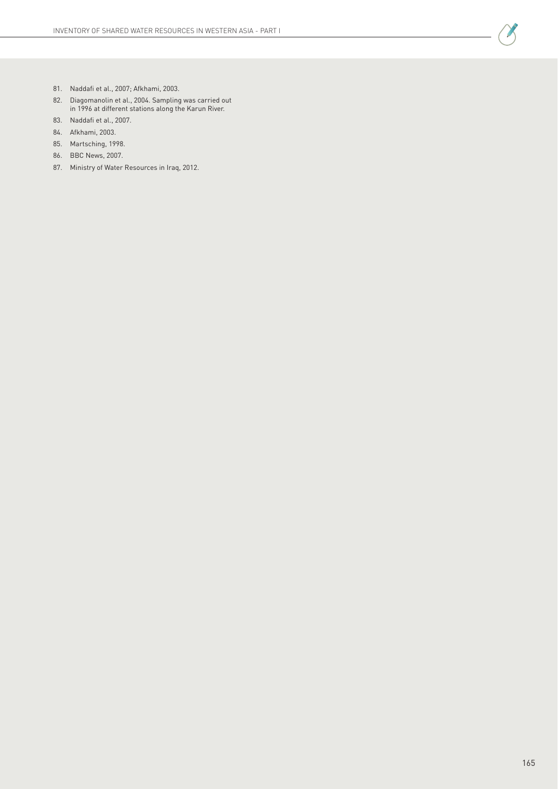

- 81. Naddafi et al., 2007; Afkhami, 2003.
- 82. Diagomanolin et al., 2004. Sampling was carried out in 1996 at different stations along the Karun River.
- 83. Naddafi et al., 2007.
- 84. Afkhami, 2003.
- 85. Martsching, 1998.
- 86. BBC News, 2007.
- 87. Ministry of Water Resources in Iraq, 2012.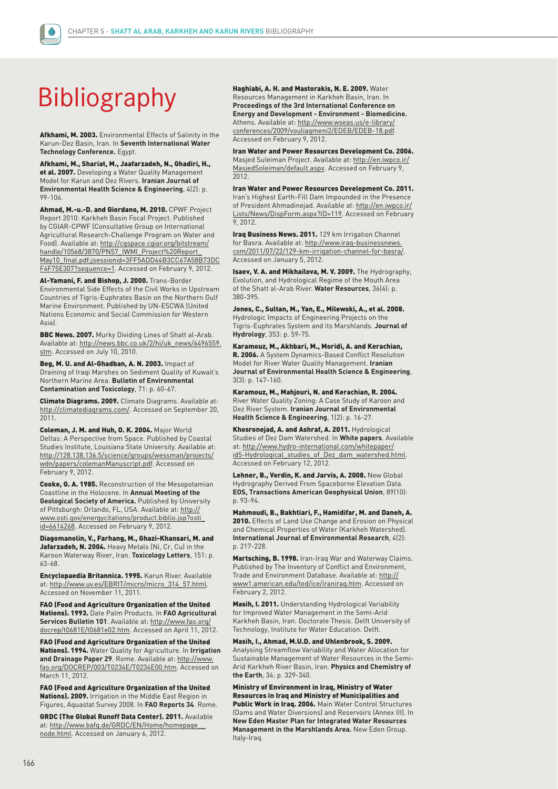

## Bibliography

Afkhami, M. 2003. Environmental Effects of Salinity in the Karun-Dez Basin, Iran. In **Seventh International Water Technology Conference.** Egypt.

Afkhami, M., Shariat, M., Jaafarzadeh, N., Ghadiri, H., et al. 2007. Developing a Water Quality Management Model for Karun and Dez Rivers. **Iranian Journal of Environmental Health Science & Engineering**, 4(2): p. 99-106.

Ahmad, M.-u.-D. and Giordano, M. 2010. CPWF Project Report 2010: Karkheh Basin Focal Project. Published by CGIAR-CPWF (Consultative Group on International Agricultural Research-Challenge Program on Water and Food). Available at: http://cgspace.cgiar.org/bitstream/ handle/10568/3870/PN57\_IWMI\_Project%20Report\_ May10\_final.pdf;jsessionid=3FF5ADD44B3CC67A58B73DC F4F75E307?sequence=1. Accessed on February 9, 2012.

Al-Yamani, F. and Bishop, J. 2000. Trans-Border Environmental Side Effects of the Civil Works in Upstream Countries of Tigris-Euphrates Basin on the Northern Gulf Marine Environment. Published by UN-ESCWA (United Nations Economic and Social Commission for Western Asia).

**BBC News. 2007.** Murky Dividing Lines of Shatt al-Arab. Available at: http://news.bbc.co.uk/2/hi/uk\_news/6496559. stm. Accessed on July 10, 2010.

Beg, M. U. and Al-Ghadban, A. N. 2003. Impact of Draining of Iraqi Marshes on Sediment Quality of Kuwait's Northern Marine Area. **Bulletin of Environmental Contamination and Toxicology**, 71: p. 60-67.

Climate Diagrams. 2009. Climate Diagrams. Available at: http://climatediagrams.com/. Accessed on September 20, 2011.

Coleman, J. M. and Huh, O. K. 2004. Major World Deltas: A Perspective from Space. Published by Coastal Studies Institute, Louisiana State University. Available at: http://128.138.136.5/science/groups/wessman/projects/ wdn/papers/colemanManuscript.pdf. Accessed on February 9, 2012.

Cooke, G. A. 1985. Reconstruction of the Mesopotamian Coastline in the Holocene. In **Annual Meeting of the Geological Society of America.** Published by University of Pittsburgh: Orlando, FL, USA. Available at: http:// www.osti.gov/energycitations/product.biblio.jsp?osti\_ id=6614268. Accessed on February 9, 2012.

Diagomanolin, V., Farhang, M., Ghazi-Khansari, M. and Jafarzadeh, N. 2004. Heavy Metals (Ni, Cr, Cu) in the Karoon Waterway River, Iran. **Toxicology Letters**, 151: p. 63-68.

Encyclopaedia Britannica. 1995. Karun River. Available at: http://www.uv.es/EBRIT/micro/micro\_314\_57.html. Accessed on November 11, 2011.

FAO (Food and Agriculture Organization of the United Nations). 1993. Date Palm Products. In **FAO Agricultural Services Bulletin 101**. Available at: http://www.fao.org/ docrep/t0681E/t0681e02.htm. Accessed on April 11, 2012.

FAO (Food and Agriculture Organization of the United Nations). 1994. Water Quality for Agriculture. In **Irrigation and Drainage Paper 29**. Rome. Available at: http://www. fao.org/DOCREP/003/T0234E/T0234E00.htm. Accessed on March 11, 2012.

FAO (Food and Agriculture Organization of the United Nations). 2009. Irrigation in the Middle East Region in Figures, Aquastat Survey 2008. In **FAO Reports 34**. Rome.

GRDC (The Global Runoff Data Center). 2011. Available at: http://www.bafg.de/GRDC/EN/Home/homepage\_\_ node.html. Accessed on January 6, 2012.

Haghiabi, A. H. and Mastorakis, N. E. 2009. Water Resources Management in Karkheh Basin, Iran. In **Proceedings of the 3rd International Conference on Energy and Development - Environment - Biomedicine.** Athens. Available at: http://www.wseas.us/e-library/ conferences/2009/vouliagmeni2/EDEB/EDEB-18.pdf. Accessed on February 9, 2012.

Iran Water and Power Resources Development Co. 2006. Masjed Suleiman Project. Available at: http://en.iwpco.ir/ MasjedSoleiman/default.aspx. Accessed on February 9, 2012.

Iran Water and Power Resources Development Co. 2011. Iran's Highest Earth-Fill Dam Impounded in the Presence of President Ahmadinejad. Available at: http://en.iwpco.ir/ Lists/News/DispForm.aspx?ID=119. Accessed on February 9, 2012.

Iraq Business News. 2011. 129 km Irrigation Channel for Basra. Available at: http://www.iraq-businessnews. com/2011/07/22/129-km-irrigation-channel-for-basra/. Accessed on January 5, 2012.

Isaev, V. A. and Mikhailova, M. V. 2009. The Hydrography, Evolution, and Hydrological Regime of the Mouth Area of the Shatt al-Arab River. **Water Resources**, 36(4): p. 380-395.

Jones, C., Sultan, M., Yan, E., Milewski, A., et al. 2008. Hydrologic Impacts of Engineering Projects on the Tigris-Euphrates System and its Marshlands. **Journal of Hydrology**, 353: p. 59-75.

Karamouz, M., Akhbari, M., Moridi, A. and Kerachian, R. 2006. A System Dynamics-Based Conflict Resolution Model for River Water Quality Management. **Iranian Journal of Environmental Health Science & Engineering**, 3(3): p. 147-160.

Karamouz, M., Mahjouri, N. and Kerachian, R. 2004. River Water Quality Zoning: A Case Study of Karoon and Dez River System. **Iranian Journal of Environmental Health Science & Engineering**, 1(2): p. 16-27.

Khosronejad, A. and Ashraf, A. 2011. Hydrological Studies of Dez Dam Watershed. In **White papers**. Available at: http://www.hydro-international.com/whitepaper/ id5-Hydrological\_studies\_of\_Dez\_dam\_watershed.html. Accessed on February 12, 2012.

Lehner, B., Verdin, K. and Jarvis, A. 2008. New Global Hydrography Derived From Spaceborne Elevation Data. **EOS, Transactions American Geophysical Union**, 89(10): p. 93-94.

Mahmoudi, B., Bakhtiari, F., Hamidifar, M. and Daneh, A. 2010. Effects of Land Use Change and Erosion on Physical and Chemical Properties of Water (Karkheh Watershed). **International Journal of Environmental Research**, 4(2): p. 217-228.

Martsching, B. 1998. Iran-Iraq War and Waterway Claims. Published by The Inventory of Conflict and Environment, Trade and Environment Database. Available at: http:// www1.american.edu/ted/ice/iraniraq.htm. Accessed on February 2, 2012.

Masih, I. 2011. Understanding Hydrological Variability for Improved Water Management in the Semi-Arid Karkheh Basin, Iran. Doctorate Thesis. Delft University of Technology, Institute for Water Education. Delft.

Masih, I., Ahmad, M.U.D. and Uhlenbrook, S. 2009. Analysing Streamflow Variability and Water Allocation for Sustainable Management of Water Resources in the Semi-

Arid Karkheh River Basin, Iran. **Physics and Chemistry of the Earth**, 34: p. 329-340.

Ministry of Environment in Iraq, Ministry of Water Resources in Iraq and Ministry of Municipalities and Public Work in Iraq. 2006. Main Water Control Structures (Dams and Water Diversions) and Reservoirs (Annex III). In **New Eden Master Plan for Integrated Water Resources Management in the Marshlands Area.** New Eden Group. Italy-Iraq.